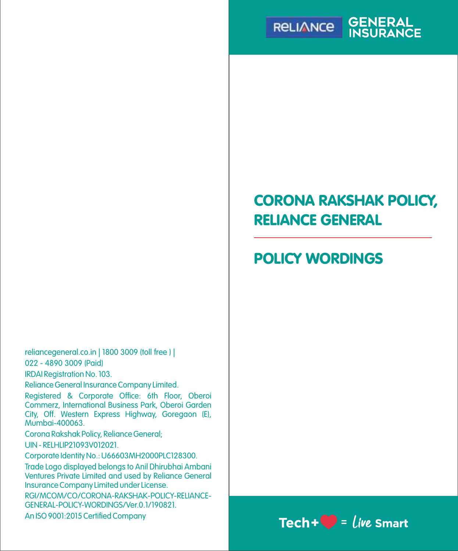

# CORONA RAKSHAK POLICY, RELIANCE GENERAL

# POLICY WORDINGS

reliancegeneral.co.in | 1800 3009 (toll free ) | 022 - 4890 3009 (Paid)

IRDAI Registration No. 103.

Reliance General Insurance Company Limited.

Registered & Corporate Office: 6th Floor, Oberoi Commerz, International Business Park, Oberoi Garden City, Off. Western Express Highway, Goregaon (E), Mumbai-400063.

Corona Rakshak Policy, Reliance General; UIN - RELHLIP21093V012021.

Corporate Identity No.: U66603MH2000PLC128300.

Trade Logo displayed belongs to Anil Dhirubhai Ambani Ventures Private Limited and used by Reliance General Insurance Company Limited under License.

RGI/MCOM/CO/CORONA-RAKSHAK-POLICY-RELIANCE-GENERAL-POLICY-WORDINGS/Ver.0.1/190821.

An ISO 9001:2015 Certified Company

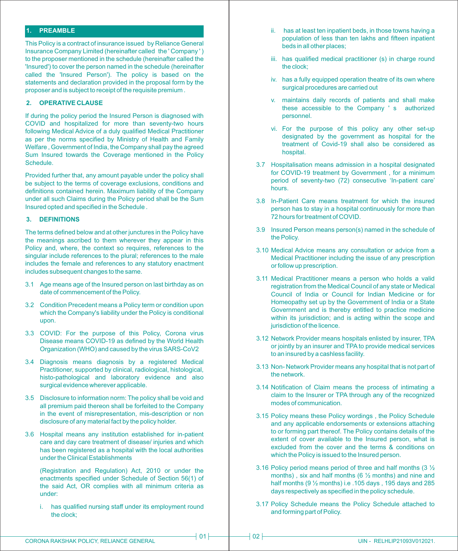## **1. PREAMBLE**

This Policy is a contract of insurance issued by Reliance General Insurance Company Limited (hereinafter called the ' Company ' ) to the proposer mentioned in the schedule (hereinafter called the 'Insured') to cover the person named in the schedule (hereinafter called the 'Insured Person'). The policy is based on the statements and declaration provided in the proposal form by the proposer and is subject to receipt of the requisite premium .

## **2. OPERATIVE CLAUSE**

If during the policy period the Insured Person is diagnosed with COVID and hospitalized for more than seventy-two hours following Medical Advice of a duly qualified Medical Practitioner as per the norms specified by Ministry of Health and Family Welfare , Government of India, the Company shall pay the agreed Sum Insured towards the Coverage mentioned in the Policy Schedule.

Provided further that, any amount payable under the policy shall be subject to the terms of coverage exclusions, conditions and definitions contained herein. Maximum liability of the Company under all such Claims during the Policy period shall be the Sum Insured opted and specified in the Schedule .

## **3. DEFINITIONS**

The terms defined below and at other junctures in the Policy have the meanings ascribed to them wherever they appear in this Policy and, where, the context so requires, references to the singular include references to the plural; references to the male includes the female and references to any statutory enactment includes subsequent changes to the same.

- 3.1 Age means age of the Insured person on last birthday as on date of commencement of the Policy.
- 3.2 Condition Precedent means a Policy term or condition upon which the Company's liability under the Policy is conditional upon.
- 3.3 COVID: For the purpose of this Policy, Corona virus Disease means COVID-19 as defined by the World Health Organization (WHO) and caused by the virus SARS-CoV2
- 3.4 Diagnosis means diagnosis by a registered Medical Practitioner, supported by clinical, radiological, histological, histo-pathological and laboratory evidence and also surgical evidence wherever applicable.
- 3.5 Disclosure to information norm: The policy shall be void and all premium paid thereon shall be forfeited to the Company in the event of misrepresentation, mis-description or non disclosure of any material fact by the policy holder.
- 3.6 Hospital means any institution established for in-patient care and day care treatment of disease/ injuries and which has been registered as a hospital with the local authorities under the Clinical Establishments

(Registration and Regulation) Act, 2010 or under the enactments specified under Schedule of Section 56(1) of the said Act, OR complies with all minimum criteria as under:

i. has qualified nursing staff under its employment round the clock;

- ii. has at least ten inpatient beds, in those towns having a population of less than ten lakhs and fifteen inpatient beds in all other places;
- iii. has qualified medical practitioner (s) in charge round the clock;
- iv. has a fully equipped operation theatre of its own where surgical procedures are carried out
- v. maintains daily records of patients and shall make these accessible to the Company ' s authorized personnel.
- vi. For the purpose of this policy any other set-up designated by the government as hospital for the treatment of Covid-19 shall also be considered as hospital.
- 3.7 Hospitalisation means admission in a hospital designated for COVID-19 treatment by Government , for a minimum period of seventy-two (72) consecutive 'In-patient care' hours.
- 3.8 In-Patient Care means treatment for which the insured person has to stay in a hospital continuously for more than 72 hours for treatment of COVID.
- 3.9 Insured Person means person(s) named in the schedule of the Policy.
- 3.10 Medical Advice means any consultation or advice from a Medical Practitioner including the issue of any prescription or follow up prescription.
- 3.11 Medical Practitioner means a person who holds a valid registration from the Medical Council of any state or Medical Council of India or Council for Indian Medicine or for Homeopathy set up by the Government of India or a State Government and is thereby entitled to practice medicine within its jurisdiction; and is acting within the scope and jurisdiction of the licence.
- 3.12 Network Provider means hospitals enlisted by insurer, TPA or jointly by an insurer and TPA to provide medical services to an insured by a cashless facility.
- 3.13 Non- Network Provider means any hospital that is not part of the network.
- 3.14 Notification of Claim means the process of intimating a claim to the Insurer or TPA through any of the recognized modes of communication.
- 3.15 Policy means these Policy wordings , the Policy Schedule and any applicable endorsements or extensions attaching to or forming part thereof. The Policy contains details of the extent of cover available to the Insured person, what is excluded from the cover and the terms & conditions on which the Policy is issued to the Insured person.
- 3.16 Policy period means period of three and half months (3 ½ months) , six and half months (6 ½ months) and nine and half months (9 ½ months) i.e .105 days , 195 days and 285 days respectively as specified in the policy schedule.
- 3.17 Policy Schedule means the Policy Schedule attached to and forming part of Policy.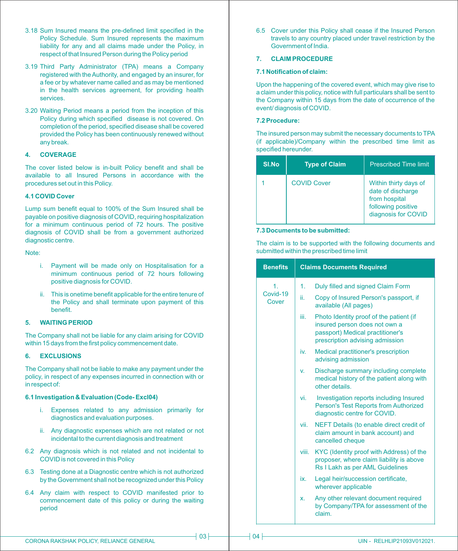- 3.18 Sum Insured means the pre-defined limit specified in the Policy Schedule. Sum Insured represents the maximum liability for any and all claims made under the Policy, in respect of that Insured Person during the Policy period
- 3.19 Third Party Administrator (TPA) means a Company registered with the Authority, and engaged by an insurer, for a fee or by whatever name called and as may be mentioned in the health services agreement, for providing health services.
- 3.20 Waiting Period means a period from the inception of this Policy during which specified disease is not covered. On completion of the period, specified disease shall be covered provided the Policy has been continuously renewed without any break.

## **4. COVERAGE**

The cover listed below is in-built Policy benefit and shall be available to all Insured Persons in accordance with the procedures set out in this Policy.

#### **4.1 COVID Cover**

Lump sum benefit equal to 100% of the Sum Insured shall be payable on positive diagnosis of COVID, requiring hospitalization for a minimum continuous period of 72 hours. The positive diagnosis of COVID shall be from a government authorized diagnostic centre.

Note:

- i. Payment will be made only on Hospitalisation for a minimum continuous period of 72 hours following positive diagnosis for COVID.
- ii. This is onetime benefit applicable for the entire tenure of the Policy and shall terminate upon payment of this benefit.

## **5. WAITING PERIOD**

The Company shall not be liable for any claim arising for COVID within 15 days from the first policy commencement date.

## **6. EXCLUSIONS**

The Company shall not be liable to make any payment under the policy, in respect of any expenses incurred in connection with or in respect of:

## **6.1 Investigation & Evaluation (Code- Excl04)**

- i. Expenses related to any admission primarily for diagnostics and evaluation purposes.
- ii. Any diagnostic expenses which are not related or not incidental to the current diagnosis and treatment
- 6.2 Any diagnosis which is not related and not incidental to COVID is not covered in this Policy
- 6.3 Testing done at a Diagnostic centre which is not authorized by the Government shall not be recognized under this Policy
- 6.4 Any claim with respect to COVID manifested prior to commencement date of this policy or during the waiting period

6.5 Cover under this Policy shall cease if the Insured Person travels to any country placed under travel restriction by the Government of India.

### **7. CLAIM PROCEDURE**

#### **7.1 Notification of claim:**

Upon the happening of the covered event, which may give rise to a claim under this policy, notice with full particulars shall be sent to the Company within 15 days from the date of occurrence of the event/ diagnosis of COVID.

### **7.2 Procedure:**

The insured person may submit the necessary documents to TPA (if applicable)/Company within the prescribed time limit as specified hereunder.

| SI.No | <b>Type of Claim</b> | <b>Prescribed Time limit</b>                                                                             |
|-------|----------------------|----------------------------------------------------------------------------------------------------------|
|       | <b>COVID Cover</b>   | Within thirty days of<br>date of discharge<br>from hospital<br>following positive<br>diagnosis for COVID |

## **7.3 Documents to be submitted:**

The claim is to be supported with the following documents and submitted within the prescribed time limit

| <b>Benefits</b>                   |       | <b>Claims Documents Required</b>                                                                                                                |
|-----------------------------------|-------|-------------------------------------------------------------------------------------------------------------------------------------------------|
| $\mathbf{1}$<br>Covid-19<br>Cover | 1.    | Duly filled and signed Claim Form                                                                                                               |
|                                   | ii.   | Copy of Insured Person's passport, if<br>available (All pages)                                                                                  |
|                                   | iii.  | Photo Identity proof of the patient (if<br>insured person does not own a<br>passport) Medical practitioner's<br>prescription advising admission |
|                                   | iv.   | Medical practitioner's prescription<br>advising admission                                                                                       |
|                                   | V.    | Discharge summary including complete<br>medical history of the patient along with<br>other details                                              |
|                                   | vi.   | Investigation reports including Insured<br>Person's Test Reports from Authorized<br>diagnostic centre for COVID.                                |
|                                   | vii.  | NEFT Details (to enable direct credit of<br>claim amount in bank account) and<br>cancelled cheque                                               |
|                                   | viii. | KYC (Identity proof with Address) of the<br>proposer, where claim liability is above<br>Rs I Lakh as per AML Guidelines                         |
|                                   | ix.   | Legal heir/succession certificate,<br>wherever applicable                                                                                       |
|                                   | x.    | Any other relevant document required<br>by Company/TPA for assessment of the<br>claim.                                                          |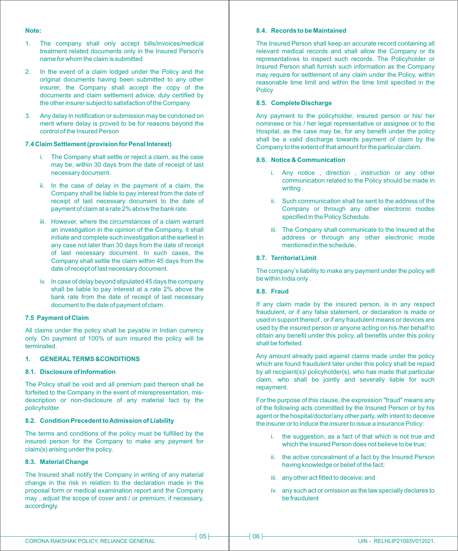## **Note:**

- 1. The company shall only accept bills/invoices/medical treatment related documents only in the Insured Person's name for whom the claim is submitted
- 2. In the event of a claim lodged under the Policy and the original documents having been submitted to any other insurer, the Company shall accept the copy of the documents and claim settlement advice, duly certified by the other insurer subject to satisfaction of the Company
- 3. Any delay in notification or submission may be condoned on merit where delay is proved to be for reasons beyond the control of the Insured Person

## **7.4 Claim Settlement (provision for Penal Interest)**

- i. The Company shall settle or reject a claim, as the case may be, within 30 days from the date of receipt of last necessary document.
- ii. In the case of delay in the payment of a claim, the Company shall be liable to pay interest from the date of receipt of last necessary document to the date of payment of claim at a rate 2% above the bank rate.
- iii. However, where the circumstances of a claim warrant an investigation in the opinion of the Company, it shall initiate and complete such investigation at the earliest in any case not later than 30 days from the date of receipt of last necessary document. In such cases, the Company shall settle the claim within 45 days from the date of receipt of last necessary document.
- iv. In case of delay beyond stipulated 45 days the company shall be liable to pay interest at a rate 2% above the bank rate from the date of receipt of last necessary document to the date of payment of claim.

## **7.5 Payment of Claim**

All claims under the policy shall be payable in Indian currency only. On payment of 100% of sum insured the policy will be terminated.

## **1. GENERALTERMS &CONDITIONS**

## **8.1. Disclosure of Information**

The Policy shall be void and all premium paid thereon shall be forfeited to the Company in the event of misrepresentation, misdescription or non-disclosure of any material fact by the policyholder.

#### **8.2. Condition Precedent to Admission of Liability**

The terms and conditions of the policy must be fulfilled by the insured person for the Company to make any payment for claim(s) arising under the policy.

#### **8.3. Material Change**

The Insured shall notify the Company in writing of any material change in the risk in relation to the declaration made in the proposal form or medical examination report and the Company may , adjust the scope of cover and / or premium, if necessary, accordingly.

## **8.4. Records to be Maintained**

The Insured Person shall keep an accurate record containing all relevant medical records and shall allow the Company or its representatives to inspect such records. The Policyholder or Insured Person shall furnish such information as the Company may require for settlement of any claim under the Policy, within reasonable time limit and within the time limit specified in the **Policy** 

## **8.5. Complete Discharge**

Any payment to the policyholder, insured person or his/ her nominees or his / her legal representative or assignee or to the Hospital, as the case may be, for any benefit under the policy shall be a valid discharge towards payment of claim by the Company to the extent of that amount for the particular claim.

#### **8.6. Notice & Communication**

- i. Any notice , direction , instruction or any other communication related to the Policy should be made in writing .
- ii. Such communication shall be sent to the address of the Company or through any other electronic modes specified in the Policy Schedule.
- iii. The Company shall communicate to the Insured at the address or through any other electronic mode mentioned in the schedule.

#### **8.7 Territorial Limit**

The company's liability to make any payment under the policy will be within India only .

## **8.8. Fraud**

If any claim made by the insured person, is in any respect fraudulent, or if any false statement, or declaration is made or used in support thereof , or if any fraudulent means or devices are used by the insured person or anyone acting on his /her behalf to obtain any benefit under this policy, all benefits under this policy shall be forfeited.

Any amount already paid against claims made under the policy which are found fraudulent later under this policy shall be repaid by all recipient(s)/ policyholder(s), who has made that particular claim, who shall be jointly and severally liable for such repayment.

For the purpose of this clause, the expression "fraud" means any of the following acts committed by the Insured Person or by his agent or the hospital/doctor/any other party, with intent to deceive the insurer or to induce the insurer to issue a insurance Policy:

- i. the suggestion, as a fact of that which is not true and which the Insured Person does not believe to be true;
- ii. the active concealment of a fact by the Insured Person having knowledge or belief of the fact;
- iii. any other act fitted to deceive; and
- iv. any such act or omission as the law specially declares to be fraudulent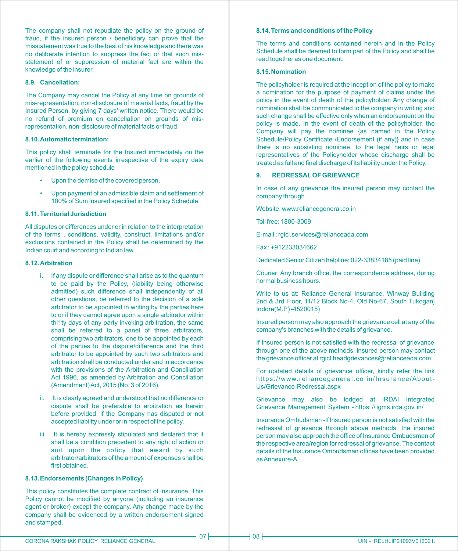The company shall not repudiate the policy on the ground of fraud, if the insured person / beneficiary can prove that the misstatement was true to the best of his knowledge and there was no deliberate intention to suppress the fact or that such misstatement of or suppression of material fact are within the knowledge of the insurer.

#### **8.9. Cancellation:**

The Company may cancel the Policy at any time on grounds of mis-representation, non-disclosure of material facts, fraud by the Insured Person, by giving 7 days' written notice. There would be no refund of premium on cancellation on grounds of misrepresentation, non-disclosure of material facts or fraud.

#### **8.10. Automatic termination:**

This policy shall terminate for the Insured immediately on the earlier of the following events irrespective of the expiry date mentioned in the policy schedule

- Upon the demise of the covered person.
- Upon payment of an admissible claim and settlement of 100% of Sum Insured specified in the Policy Schedule.

#### **8.11. Territorial Jurisdiction**

All disputes or differences under or in relation to the interpretation of the terms , conditions, validity, construct, limitations and/or exclusions contained in the Policy shall be determined by the Indian court and according to Indian law.

#### **8.12. Arbitration**

- i. If any dispute or difference shall arise as to the quantum to be paid by the Policy, (liability being otherwise admitted) such difference shall independently of all other questions, be referred to the decision of a sole arbitrator to be appointed in writing by the parties here to or if they cannot agree upon a single arbitrator within thi1ty days of any party invoking arbitration, the same shall be referred to a panel of three arbitrators, comprising two arbitrators, one to be appointed by each of the parties to the dispute/difference and the third arbitrator to be appointed by such two arbitrators and arbitration shall be conducted under and in accordance with the provisions of the Arbitration and Conciliation Act 1996, as amended by Arbitration and Conciliation (Amendment) Act, 2015 (No. 3 of 2016).
- ii. It is clearly agreed and understood that no difference or dispute shall be preferable to arbitration as herein before provided, if the Company has disputed or not accepted liability under or in respect of the policy.
- iii. It is hereby expressly stipulated and declared that it shall be a condition precedent to any right of action or suit upon the policy that award by such arbitrator/arbitrators of the amount of expenses shall be first obtained.

#### **8.13. Endorsements (Changes in Policy)**

This policy constitutes the complete contract of insurance. This Policy cannot be modified by anyone (including an insurance agent or broker) except the company. Any change made by the company shall be evidenced by a written endorsement signed and stamped.

#### **8.14. Terms and conditions of the Policy**

The terms and conditions contained herein and in the Policy Schedule shall be deemed to form part of the Policy and shall be read together as one document.

#### **8.15. Nomination**

The policyholder is required at the inception of the policy to make a nomination for the purpose of payment of claims under the policy in the event of death of the policyholder. Any change of nomination shall be communicated to the company in writing and such change shall be effective only when an endorsement on the policy is made. In the event of death of the policyholder, the Company will pay the nominee {as named in the Policy Schedule/Policy Certificate /Endorsement (if any)} and in case there is no subsisting nominee, to the legal heirs or legal representatives of the Policyholder whose discharge shall be treated as full and final discharge of its liability under the Policy.

## **9. REDRESSALOF GRIEVANCE**

In case of any grievance the insured person may contact the company through

Website: www.reliancegeneral.co.in

Toll free: 1800-3009

E-mail : rgicl.services@relianceada.com

Fax : +912233034662

Dedicated Senior Citizen helpline: 022-33834185 (paid line)

Courier: Any branch office, the correspondence address, during normal business hours.

Write to us at: Reliance General Insurance, Winway Building 2nd & 3rd Floor, 11/12 Block No-4, Old No-67, South Tukoganj Indore(M.P) -4520015)

Insured person may also approach the grievance cell at any of the company's branches with the details of grievance.

If Insured person is not satisfied with the redressal of grievance through one of the above methods, insured person may contact the grievance officer at rgicl.headgrievances@relianceada.com

For updated details of grievance officer, kindly refer the link https://www.reliancegeneral.co.in/Insurance/About-Us/Grievance-Redressal.aspx

Grievance may also be lodged at IRDAI Integrated Grievance Management System - https: // igms.irda.gov. in/

Insurance Ombudsman -If lnsured person is not satisfied with the redressal of grievance through above methods, the insured person may also approach the office of Insurance Ombudsman of the respective area/region for redressal of grievance. The contact details of the Insurance Ombudsman offices have been provided as Annexure-A.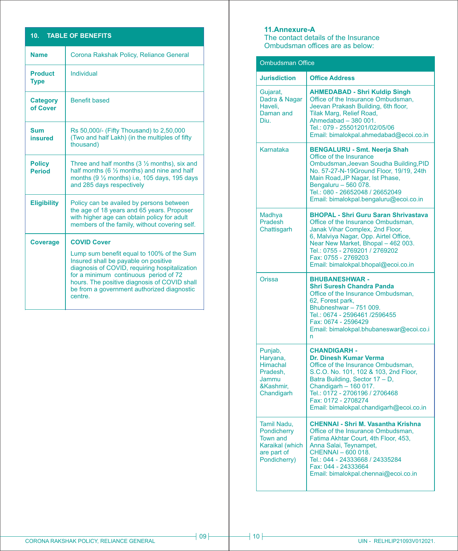# **10. TABLE OF BENEFITS**

| <b>Name</b>                    | Corona Rakshak Policy, Reliance General                                                                                                                                                                                                                                             |
|--------------------------------|-------------------------------------------------------------------------------------------------------------------------------------------------------------------------------------------------------------------------------------------------------------------------------------|
| <b>Product</b><br><b>Type</b>  | Individual                                                                                                                                                                                                                                                                          |
| <b>Category</b><br>of Cover    | <b>Benefit based</b>                                                                                                                                                                                                                                                                |
| Sum<br>insured                 | Rs 50,000/- (Fifty Thousand) to 2,50,000<br>(Two and half Lakh) (in the multiples of fifty<br>thousand)                                                                                                                                                                             |
| <b>Policy</b><br><b>Period</b> | Three and half months $(3 \frac{1}{2}$ months), six and<br>half months (6 $\frac{1}{2}$ months) and nine and half<br>months $(9 \frac{1}{2}$ months) i.e. 105 days, 195 days<br>and 285 days respectively                                                                           |
| <b>Eligibility</b>             | Policy can be availed by persons between<br>the age of 18 years and 65 years. Proposer<br>with higher age can obtain policy for adult<br>members of the family, without covering self.                                                                                              |
| <b>Coverage</b>                | <b>COVID Cover</b>                                                                                                                                                                                                                                                                  |
|                                | Lump sum benefit equal to 100% of the Sum<br>Insured shall be payable on positive<br>diagnosis of COVID, requiring hospitalization<br>for a minimum continuous period of 72<br>hours. The positive diagnosis of COVID shall<br>be from a government authorized diagnostic<br>centre |

# **11. Annexure-A**

The contact details of the Insurance Ombudsman offices are as below:

| <b>Ombudsman Office</b>                                                                         |                                                                                                                                                                                                                                                                                                     |  |
|-------------------------------------------------------------------------------------------------|-----------------------------------------------------------------------------------------------------------------------------------------------------------------------------------------------------------------------------------------------------------------------------------------------------|--|
|                                                                                                 |                                                                                                                                                                                                                                                                                                     |  |
| <b>Jurisdiction</b>                                                                             | <b>Office Address</b>                                                                                                                                                                                                                                                                               |  |
| Gujarat,<br>Dadra & Nagar<br>Haveli.<br>Daman and<br>Diu.                                       | <b>AHMEDABAD - Shri Kuldip Singh</b><br>Office of the Insurance Ombudsman,<br>Jeevan Prakash Building, 6th floor,<br>Tilak Marg, Relief Road,<br>Ahmedabad - 380 001.<br>Tel.: 079 - 25501201/02/05/06<br>Email: bimalokpal.ahmedabad@ecoi.co.in                                                    |  |
| Karnataka                                                                                       | <b>BENGALURU - Smt. Neerja Shah</b><br>Office of the Insurance<br>Ombudsman, Jeevan Soudha Building, PID<br>No. 57-27-N-19Ground Floor, 19/19, 24th<br>Main Road, JP Nagar, Ist Phase,<br>Bengaluru - 560 078.<br>Tel.: 080 - 26652048 / 26652049<br>Email: bimalokpal.bengaluru@ecoi.co.in         |  |
| Madhya<br><b>Pradesh</b><br>Chattisgarh                                                         | <b>BHOPAL - Shri Guru Saran Shrivastava</b><br>Office of the Insurance Ombudsman,<br>Janak Vihar Complex, 2nd Floor,<br>6, Malviya Nagar, Opp. Airtel Office,<br>Near New Market, Bhopal - 462 003.<br>Tel.: 0755 - 2769201 / 2769202<br>Fax: 0755 - 2769203<br>Email: bimalokpal.bhopal@ecoi.co.in |  |
| Orissa                                                                                          | <b>BHUBANESHWAR-</b><br><b>Shri Suresh Chandra Panda</b><br>Office of the Insurance Ombudsman,<br>62, Forest park,<br>Bhubneshwar - 751 009.<br>Tel.: 0674 - 2596461 /2596455<br>Fax: 0674 - 2596429<br>Email: bimalokpal.bhubaneswar@ecoi.co.i<br>'n                                               |  |
| Punjab,<br>Haryana,<br><b>Himachal</b><br>Pradesh.<br>Jammu<br>&Kashmir,<br>Chandigarh          | <b>CHANDIGARH -</b><br>Dr. Dinesh Kumar Verma<br>Office of the Insurance Ombudsman.<br>S.C.O. No. 101, 102 & 103, 2nd Floor,<br>Batra Building, Sector 17 - D,<br>Chandigarh - 160 017.<br>Tel.: 0172 - 2706196 / 2706468<br>Fax: 0172 - 2708274<br>Email: bimalokpal.chandigarh@ecoi.co.in         |  |
| Tamil Nadu,<br>Pondicherry<br><b>Town and</b><br>Karaikal (which<br>are part of<br>Pondicherry) | <b>CHENNAI - Shri M. Vasantha Krishna</b><br>Office of the Insurance Ombudsman,<br>Fatima Akhtar Court, 4th Floor, 453,<br>Anna Salai, Teynampet,<br>CHENNAI - 600 018.<br>Tel.: 044 - 24333668 / 24335284<br>Fax: 044 - 24333664<br>Email: bimalokpal.chennai@ecoi.co.in                           |  |